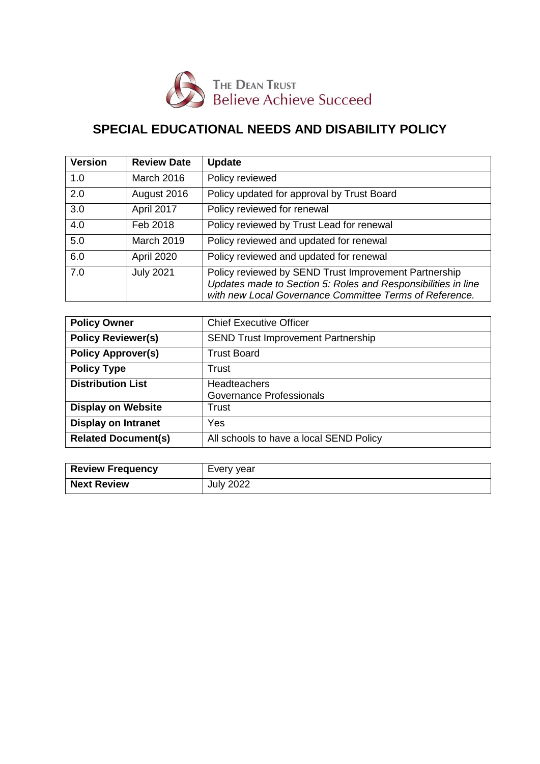

# **SPECIAL EDUCATIONAL NEEDS AND DISABILITY POLICY**

| <b>Version</b> | <b>Review Date</b> | <b>Update</b>                                                                                                                                                                     |
|----------------|--------------------|-----------------------------------------------------------------------------------------------------------------------------------------------------------------------------------|
| 1.0            | March 2016         | Policy reviewed                                                                                                                                                                   |
| 2.0            | August 2016        | Policy updated for approval by Trust Board                                                                                                                                        |
| 3.0            | April 2017         | Policy reviewed for renewal                                                                                                                                                       |
| 4.0            | Feb 2018           | Policy reviewed by Trust Lead for renewal                                                                                                                                         |
| 5.0            | <b>March 2019</b>  | Policy reviewed and updated for renewal                                                                                                                                           |
| 6.0            | April 2020         | Policy reviewed and updated for renewal                                                                                                                                           |
| 7.0            | <b>July 2021</b>   | Policy reviewed by SEND Trust Improvement Partnership<br>Updates made to Section 5: Roles and Responsibilities in line<br>with new Local Governance Committee Terms of Reference. |

| <b>Policy Owner</b>        | <b>Chief Executive Officer</b>            |
|----------------------------|-------------------------------------------|
| <b>Policy Reviewer(s)</b>  | <b>SEND Trust Improvement Partnership</b> |
| <b>Policy Approver(s)</b>  | <b>Trust Board</b>                        |
| <b>Policy Type</b>         | Trust                                     |
| <b>Distribution List</b>   | <b>Headteachers</b>                       |
|                            | Governance Professionals                  |
| <b>Display on Website</b>  | Trust                                     |
| <b>Display on Intranet</b> | Yes                                       |
| <b>Related Document(s)</b> | All schools to have a local SEND Policy   |

| <b>Review Frequency</b> | Every year       |
|-------------------------|------------------|
| <b>Next Review</b>      | <b>July 2022</b> |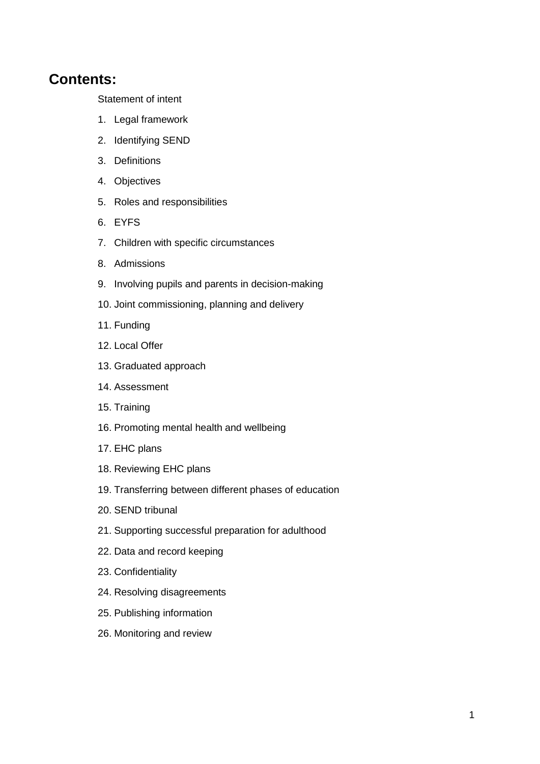## **Contents:**

[Statement of intent](#page-1-0)

- 1. [Legal framework](#page-2-0)
- 2. Identifying SEND
- 3. [Definitions](#page-3-0)
- 4. [Objectives](#page-5-0)
- 5. [Roles and responsibilities](#page-5-1)
- 6. [EYFS](#page-8-0)
- 7. [Children with specific circumstances](#page-9-0)
- 8. [Admissions](#page-9-1)
- 9. [Involving pupils and parents in decision-making](#page-10-0)
- 10. [Joint commissioning, planning and delivery](#page-10-1)
- 11. [Funding](#page-11-0)
- 12. [Local Offer](#page-12-0)
- 13. [Graduated approach](#page-12-1)
- 14. [Assessment](#page-12-2)
- 15. [Training](#page-13-0)
- 16. [Promoting mental health and wellbeing](#page-14-0)
- 17. [EHC plans](#page-15-0)
- 18. [Reviewing EHC plans](#page-16-0)
- 19. [Transferring between different phases of education](#page-17-0)
- 20. [SEND tribunal](#page-17-1)
- 21. [Supporting successful preparation for adulthood](#page-18-0)
- 22. [Data and record keeping](#page-19-0)
- 23. [Confidentiality](#page-19-1)
- 24. [Resolving disagreements](#page-20-0)
- 25. [Publishing information](#page-20-1)
- <span id="page-1-0"></span>26. [Monitoring and review](#page-20-2)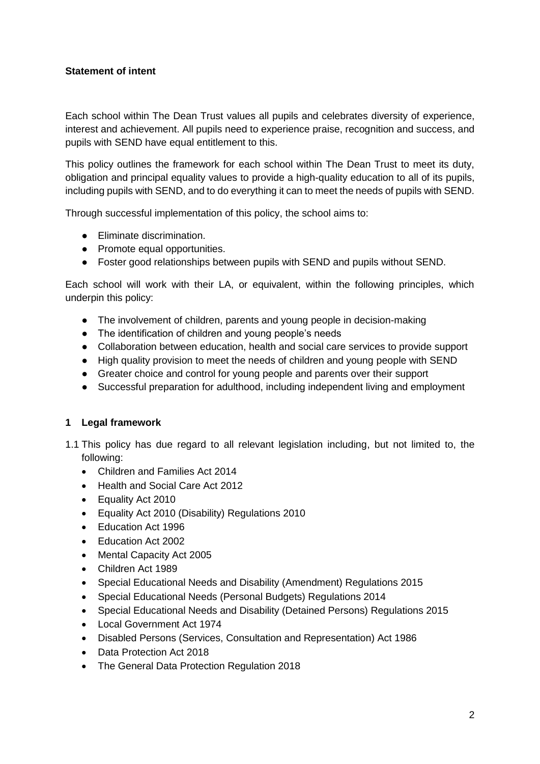## **Statement of intent**

Each school within The Dean Trust values all pupils and celebrates diversity of experience, interest and achievement. All pupils need to experience praise, recognition and success, and pupils with SEND have equal entitlement to this.

This policy outlines the framework for each school within The Dean Trust to meet its duty, obligation and principal equality values to provide a high-quality education to all of its pupils, including pupils with SEND, and to do everything it can to meet the needs of pupils with SEND.

Through successful implementation of this policy, the school aims to:

- Eliminate discrimination.
- Promote equal opportunities.
- Foster good relationships between pupils with SEND and pupils without SEND.

Each school will work with their LA, or equivalent, within the following principles, which underpin this policy:

- The involvement of children, parents and young people in decision-making
- The identification of children and young people's needs
- Collaboration between education, health and social care services to provide support
- High quality provision to meet the needs of children and young people with SEND
- Greater choice and control for young people and parents over their support
- Successful preparation for adulthood, including independent living and employment

## <span id="page-2-0"></span>**1 Legal framework**

- 1.1 This policy has due regard to all relevant legislation including, but not limited to, the following:
	- Children and Families Act 2014
	- Health and Social Care Act 2012
	- Equality Act 2010
	- Equality Act 2010 (Disability) Regulations 2010
	- Fducation Act 1996
	- Education Act 2002
	- Mental Capacity Act 2005
	- Children Act 1989
	- Special Educational Needs and Disability (Amendment) Regulations 2015
	- Special Educational Needs (Personal Budgets) Regulations 2014
	- Special Educational Needs and Disability (Detained Persons) Regulations 2015
	- Local Government Act 1974
	- Disabled Persons (Services, Consultation and Representation) Act 1986
	- Data Protection Act 2018
	- The General Data Protection Regulation 2018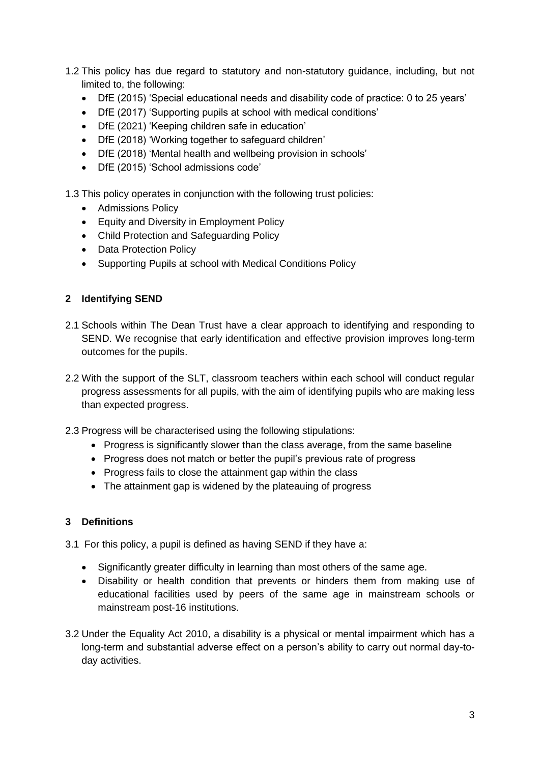- 1.2 This policy has due regard to statutory and non-statutory guidance, including, but not limited to, the following:
	- DfE (2015) 'Special educational needs and disability code of practice: 0 to 25 years'
	- DfE (2017) 'Supporting pupils at school with medical conditions'
	- DfE (2021) 'Keeping children safe in education'
	- DfE (2018) 'Working together to safeguard children'
	- DfE (2018) 'Mental health and wellbeing provision in schools'
	- DfE (2015) 'School admissions code'

1.3 This policy operates in conjunction with the following trust policies:

- Admissions Policy
- Equity and Diversity in Employment Policy
- Child Protection and Safeguarding Policy
- Data Protection Policy
- Supporting Pupils at school with Medical Conditions Policy

#### **2 Identifying SEND**

- 2.1 Schools within The Dean Trust have a clear approach to identifying and responding to SEND. We recognise that early identification and effective provision improves long-term outcomes for the pupils.
- 2.2 With the support of the SLT, classroom teachers within each school will conduct regular progress assessments for all pupils, with the aim of identifying pupils who are making less than expected progress.
- 2.3 Progress will be characterised using the following stipulations:
	- Progress is significantly slower than the class average, from the same baseline
	- Progress does not match or better the pupil's previous rate of progress
	- Progress fails to close the attainment gap within the class
	- The attainment gap is widened by the plateauing of progress

#### <span id="page-3-0"></span>**3 Definitions**

3.1 For this policy, a pupil is defined as having SEND if they have a:

- Significantly greater difficulty in learning than most others of the same age.
- Disability or health condition that prevents or hinders them from making use of educational facilities used by peers of the same age in mainstream schools or mainstream post-16 institutions.
- 3.2 Under the Equality Act 2010, a disability is a physical or mental impairment which has a long-term and substantial adverse effect on a person's ability to carry out normal day-today activities.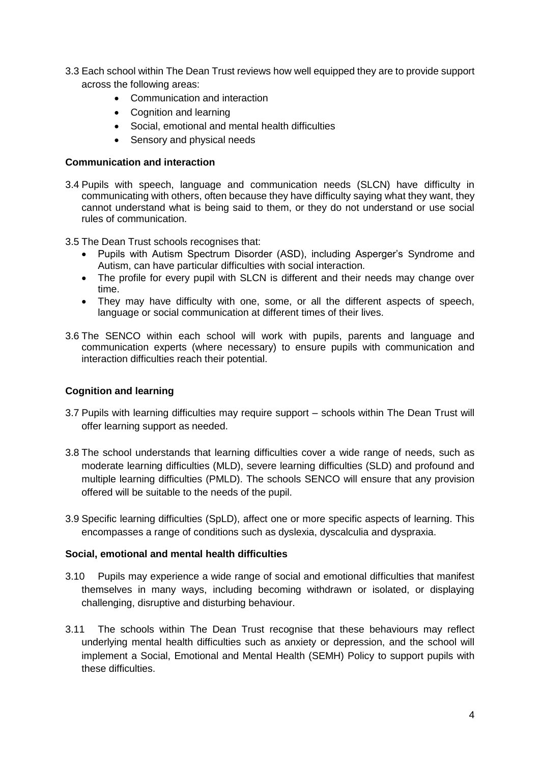- 3.3 Each school within The Dean Trust reviews how well equipped they are to provide support across the following areas:
	- Communication and interaction
	- Cognition and learning
	- Social, emotional and mental health difficulties
	- Sensory and physical needs

#### **Communication and interaction**

- 3.4 Pupils with speech, language and communication needs (SLCN) have difficulty in communicating with others, often because they have difficulty saying what they want, they cannot understand what is being said to them, or they do not understand or use social rules of communication.
- 3.5 The Dean Trust schools recognises that:
	- Pupils with Autism Spectrum Disorder (ASD), including Asperger's Syndrome and Autism, can have particular difficulties with social interaction.
	- The profile for every pupil with SLCN is different and their needs may change over time.
	- They may have difficulty with one, some, or all the different aspects of speech, language or social communication at different times of their lives.
- 3.6 The SENCO within each school will work with pupils, parents and language and communication experts (where necessary) to ensure pupils with communication and interaction difficulties reach their potential.

## **Cognition and learning**

- 3.7 Pupils with learning difficulties may require support schools within The Dean Trust will offer learning support as needed.
- 3.8 The school understands that learning difficulties cover a wide range of needs, such as moderate learning difficulties (MLD), severe learning difficulties (SLD) and profound and multiple learning difficulties (PMLD). The schools SENCO will ensure that any provision offered will be suitable to the needs of the pupil.
- 3.9 Specific learning difficulties (SpLD), affect one or more specific aspects of learning. This encompasses a range of conditions such as dyslexia, dyscalculia and dyspraxia.

#### **Social, emotional and mental health difficulties**

- 3.10 Pupils may experience a wide range of social and emotional difficulties that manifest themselves in many ways, including becoming withdrawn or isolated, or displaying challenging, disruptive and disturbing behaviour.
- 3.11 The schools within The Dean Trust recognise that these behaviours may reflect underlying mental health difficulties such as anxiety or depression, and the school will implement a Social, Emotional and Mental Health (SEMH) Policy to support pupils with these difficulties.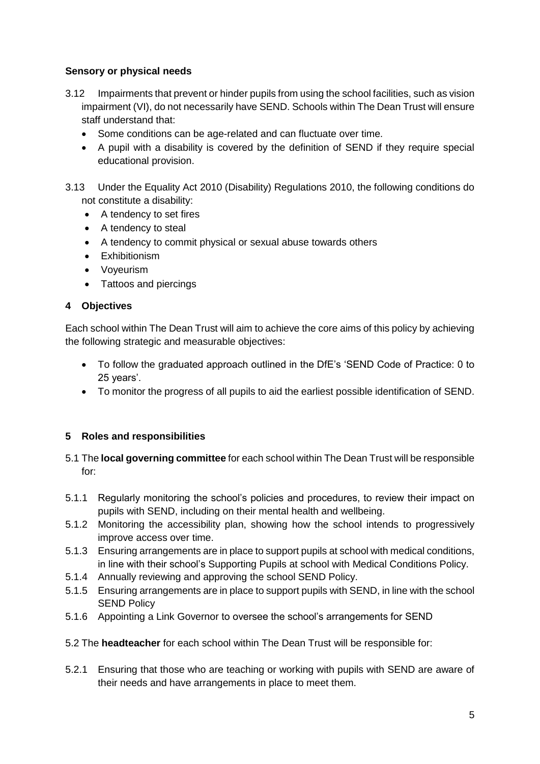## **Sensory or physical needs**

- 3.12 Impairments that prevent or hinder pupils from using the school facilities, such as vision impairment (VI), do not necessarily have SEND. Schools within The Dean Trust will ensure staff understand that:
	- Some conditions can be age-related and can fluctuate over time.
	- A pupil with a disability is covered by the definition of SEND if they require special educational provision.
- 3.13 Under the Equality Act 2010 (Disability) Regulations 2010, the following conditions do not constitute a disability:
	- A tendency to set fires
	- A tendency to steal
	- A tendency to commit physical or sexual abuse towards others
	- Exhibitionism
	- Voyeurism
	- Tattoos and piercings

## <span id="page-5-0"></span>**4 Objectives**

Each school within The Dean Trust will aim to achieve the core aims of this policy by achieving the following strategic and measurable objectives:

- To follow the graduated approach outlined in the DfE's 'SEND Code of Practice: 0 to 25 years'.
- To monitor the progress of all pupils to aid the earliest possible identification of SEND.

## <span id="page-5-1"></span>**5 Roles and responsibilities**

- 5.1 The **local governing committee** for each school within The Dean Trust will be responsible for:
- 5.1.1 Regularly monitoring the school's policies and procedures, to review their impact on pupils with SEND, including on their mental health and wellbeing.
- 5.1.2 Monitoring the accessibility plan, showing how the school intends to progressively improve access over time.
- 5.1.3 Ensuring arrangements are in place to support pupils at school with medical conditions, in line with their school's Supporting Pupils at school with Medical Conditions Policy.
- 5.1.4 Annually reviewing and approving the school SEND Policy.
- 5.1.5 Ensuring arrangements are in place to support pupils with SEND, in line with the school SEND Policy
- 5.1.6 Appointing a Link Governor to oversee the school's arrangements for SEND
- 5.2 The **headteacher** for each school within The Dean Trust will be responsible for:
- 5.2.1 Ensuring that those who are teaching or working with pupils with SEND are aware of their needs and have arrangements in place to meet them.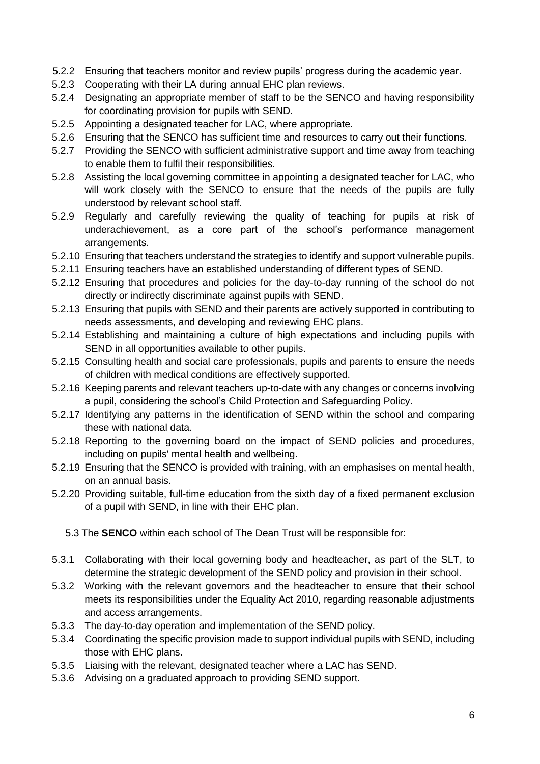- 5.2.2 Ensuring that teachers monitor and review pupils' progress during the academic year.
- 5.2.3 Cooperating with their LA during annual EHC plan reviews.
- 5.2.4 Designating an appropriate member of staff to be the SENCO and having responsibility for coordinating provision for pupils with SEND.
- 5.2.5 Appointing a designated teacher for LAC, where appropriate.
- 5.2.6 Ensuring that the SENCO has sufficient time and resources to carry out their functions.
- 5.2.7 Providing the SENCO with sufficient administrative support and time away from teaching to enable them to fulfil their responsibilities.
- 5.2.8 Assisting the local governing committee in appointing a designated teacher for LAC, who will work closely with the SENCO to ensure that the needs of the pupils are fully understood by relevant school staff.
- 5.2.9 Regularly and carefully reviewing the quality of teaching for pupils at risk of underachievement, as a core part of the school's performance management arrangements.
- 5.2.10 Ensuring that teachers understand the strategies to identify and support vulnerable pupils.
- 5.2.11 Ensuring teachers have an established understanding of different types of SEND.
- 5.2.12 Ensuring that procedures and policies for the day-to-day running of the school do not directly or indirectly discriminate against pupils with SEND.
- 5.2.13 Ensuring that pupils with SEND and their parents are actively supported in contributing to needs assessments, and developing and reviewing EHC plans.
- 5.2.14 Establishing and maintaining a culture of high expectations and including pupils with SEND in all opportunities available to other pupils.
- 5.2.15 Consulting health and social care professionals, pupils and parents to ensure the needs of children with medical conditions are effectively supported.
- 5.2.16 Keeping parents and relevant teachers up-to-date with any changes or concerns involving a pupil, considering the school's Child Protection and Safeguarding Policy.
- 5.2.17 Identifying any patterns in the identification of SEND within the school and comparing these with national data.
- 5.2.18 Reporting to the governing board on the impact of SEND policies and procedures, including on pupils' mental health and wellbeing.
- 5.2.19 Ensuring that the SENCO is provided with training, with an emphasises on mental health, on an annual basis.
- 5.2.20 Providing suitable, full-time education from the sixth day of a fixed permanent exclusion of a pupil with SEND, in line with their EHC plan.
	- 5.3 The **SENCO** within each school of The Dean Trust will be responsible for:
- 5.3.1 Collaborating with their local governing body and headteacher, as part of the SLT, to determine the strategic development of the SEND policy and provision in their school.
- 5.3.2 Working with the relevant governors and the headteacher to ensure that their school meets its responsibilities under the Equality Act 2010, regarding reasonable adjustments and access arrangements.
- 5.3.3 The day-to-day operation and implementation of the SEND policy.
- 5.3.4 Coordinating the specific provision made to support individual pupils with SEND, including those with EHC plans.
- 5.3.5 Liaising with the relevant, designated teacher where a LAC has SEND.
- 5.3.6 Advising on a graduated approach to providing SEND support.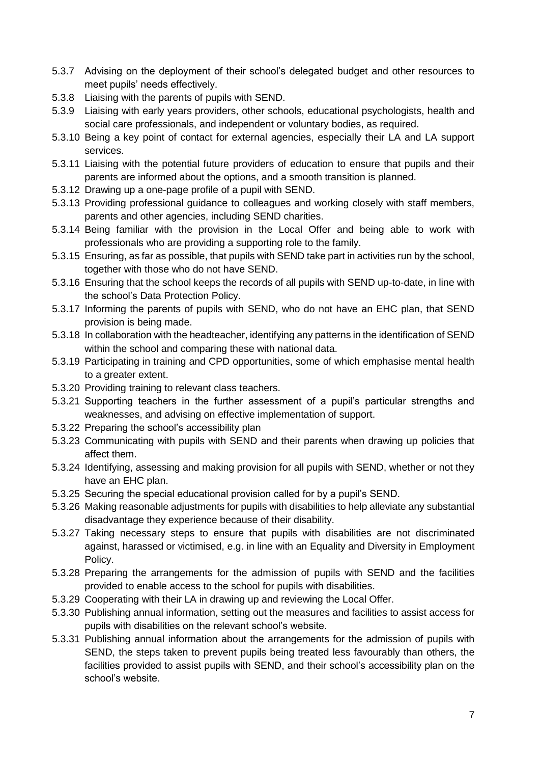- 5.3.7 Advising on the deployment of their school's delegated budget and other resources to meet pupils' needs effectively.
- 5.3.8 Liaising with the parents of pupils with SEND.
- 5.3.9 Liaising with early years providers, other schools, educational psychologists, health and social care professionals, and independent or voluntary bodies, as required.
- 5.3.10 Being a key point of contact for external agencies, especially their LA and LA support services.
- 5.3.11 Liaising with the potential future providers of education to ensure that pupils and their parents are informed about the options, and a smooth transition is planned.
- 5.3.12 Drawing up a one-page profile of a pupil with SEND.
- 5.3.13 Providing professional guidance to colleagues and working closely with staff members, parents and other agencies, including SEND charities.
- 5.3.14 Being familiar with the provision in the Local Offer and being able to work with professionals who are providing a supporting role to the family.
- 5.3.15 Ensuring, as far as possible, that pupils with SEND take part in activities run by the school, together with those who do not have SEND.
- 5.3.16 Ensuring that the school keeps the records of all pupils with SEND up-to-date, in line with the school's Data Protection Policy.
- 5.3.17 Informing the parents of pupils with SEND, who do not have an EHC plan, that SEND provision is being made.
- 5.3.18 In collaboration with the headteacher, identifying any patterns in the identification of SEND within the school and comparing these with national data.
- 5.3.19 Participating in training and CPD opportunities, some of which emphasise mental health to a greater extent.
- 5.3.20 Providing training to relevant class teachers.
- 5.3.21 Supporting teachers in the further assessment of a pupil's particular strengths and weaknesses, and advising on effective implementation of support.
- 5.3.22 Preparing the school's accessibility plan
- 5.3.23 Communicating with pupils with SEND and their parents when drawing up policies that affect them.
- 5.3.24 Identifying, assessing and making provision for all pupils with SEND, whether or not they have an EHC plan.
- 5.3.25 Securing the special educational provision called for by a pupil's SEND.
- 5.3.26 Making reasonable adjustments for pupils with disabilities to help alleviate any substantial disadvantage they experience because of their disability.
- 5.3.27 Taking necessary steps to ensure that pupils with disabilities are not discriminated against, harassed or victimised, e.g. in line with an Equality and Diversity in Employment Policy.
- 5.3.28 Preparing the arrangements for the admission of pupils with SEND and the facilities provided to enable access to the school for pupils with disabilities.
- 5.3.29 Cooperating with their LA in drawing up and reviewing the Local Offer.
- 5.3.30 Publishing annual information, setting out the measures and facilities to assist access for pupils with disabilities on the relevant school's website.
- 5.3.31 Publishing annual information about the arrangements for the admission of pupils with SEND, the steps taken to prevent pupils being treated less favourably than others, the facilities provided to assist pupils with SEND, and their school's accessibility plan on the school's website.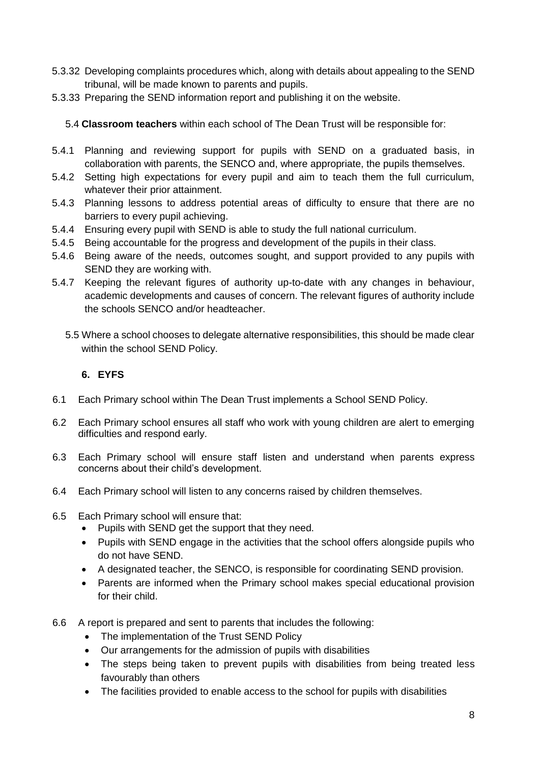- 5.3.32 Developing complaints procedures which, along with details about appealing to the SEND tribunal, will be made known to parents and pupils.
- 5.3.33 Preparing the SEND information report and publishing it on the website.

5.4 **Classroom teachers** within each school of The Dean Trust will be responsible for:

- 5.4.1 Planning and reviewing support for pupils with SEND on a graduated basis, in collaboration with parents, the SENCO and, where appropriate, the pupils themselves.
- 5.4.2 Setting high expectations for every pupil and aim to teach them the full curriculum, whatever their prior attainment.
- 5.4.3 Planning lessons to address potential areas of difficulty to ensure that there are no barriers to every pupil achieving.
- 5.4.4 Ensuring every pupil with SEND is able to study the full national curriculum.
- 5.4.5 Being accountable for the progress and development of the pupils in their class.
- 5.4.6 Being aware of the needs, outcomes sought, and support provided to any pupils with SEND they are working with.
- 5.4.7 Keeping the relevant figures of authority up-to-date with any changes in behaviour, academic developments and causes of concern. The relevant figures of authority include the schools SENCO and/or headteacher.
	- 5.5 Where a school chooses to delegate alternative responsibilities, this should be made clear within the school SEND Policy.

#### <span id="page-8-0"></span>**6. EYFS**

- 6.1 Each Primary school within The Dean Trust implements a School SEND Policy.
- 6.2 Each Primary school ensures all staff who work with young children are alert to emerging difficulties and respond early.
- 6.3 Each Primary school will ensure staff listen and understand when parents express concerns about their child's development.
- 6.4 Each Primary school will listen to any concerns raised by children themselves.
- 6.5 Each Primary school will ensure that:
	- Pupils with SEND get the support that they need.
	- Pupils with SEND engage in the activities that the school offers alongside pupils who do not have SEND.
	- A designated teacher, the SENCO, is responsible for coordinating SEND provision.
	- Parents are informed when the Primary school makes special educational provision for their child.
- 6.6 A report is prepared and sent to parents that includes the following:
	- The implementation of the Trust SEND Policy
	- Our arrangements for the admission of pupils with disabilities
	- The steps being taken to prevent pupils with disabilities from being treated less favourably than others
	- The facilities provided to enable access to the school for pupils with disabilities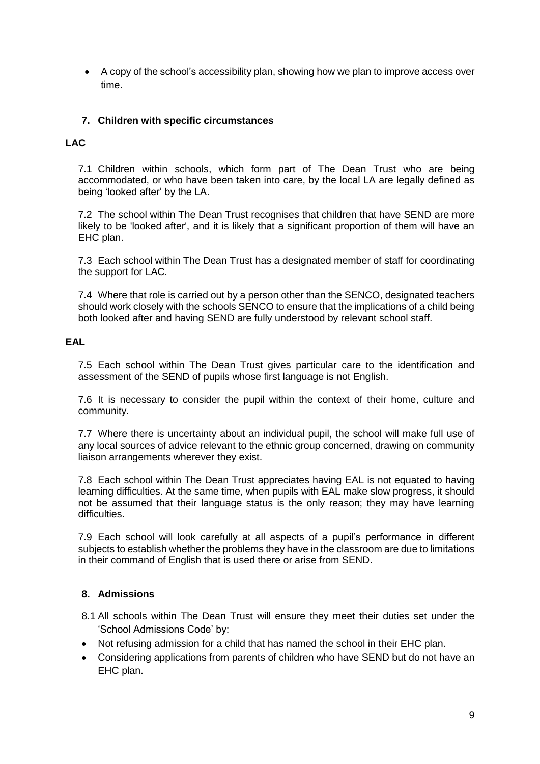• A copy of the school's accessibility plan, showing how we plan to improve access over time.

## <span id="page-9-0"></span>**7. Children with specific circumstances**

#### **LAC**

7.1 Children within schools, which form part of The Dean Trust who are being accommodated, or who have been taken into care, by the local LA are legally defined as being 'looked after' by the LA.

7.2 The school within The Dean Trust recognises that children that have SEND are more likely to be 'looked after', and it is likely that a significant proportion of them will have an EHC plan.

7.3 Each school within The Dean Trust has a designated member of staff for coordinating the support for LAC.

7.4 Where that role is carried out by a person other than the SENCO, designated teachers should work closely with the schools SENCO to ensure that the implications of a child being both looked after and having SEND are fully understood by relevant school staff.

#### **EAL**

7.5 Each school within The Dean Trust gives particular care to the identification and assessment of the SEND of pupils whose first language is not English.

7.6 It is necessary to consider the pupil within the context of their home, culture and community.

7.7 Where there is uncertainty about an individual pupil, the school will make full use of any local sources of advice relevant to the ethnic group concerned, drawing on community liaison arrangements wherever they exist.

7.8 Each school within The Dean Trust appreciates having EAL is not equated to having learning difficulties. At the same time, when pupils with EAL make slow progress, it should not be assumed that their language status is the only reason; they may have learning difficulties.

7.9 Each school will look carefully at all aspects of a pupil's performance in different subjects to establish whether the problems they have in the classroom are due to limitations in their command of English that is used there or arise from SEND.

#### <span id="page-9-1"></span>**8. Admissions**

- 8.1 All schools within The Dean Trust will ensure they meet their duties set under the 'School Admissions Code' by:
- Not refusing admission for a child that has named the school in their EHC plan.
- Considering applications from parents of children who have SEND but do not have an EHC plan.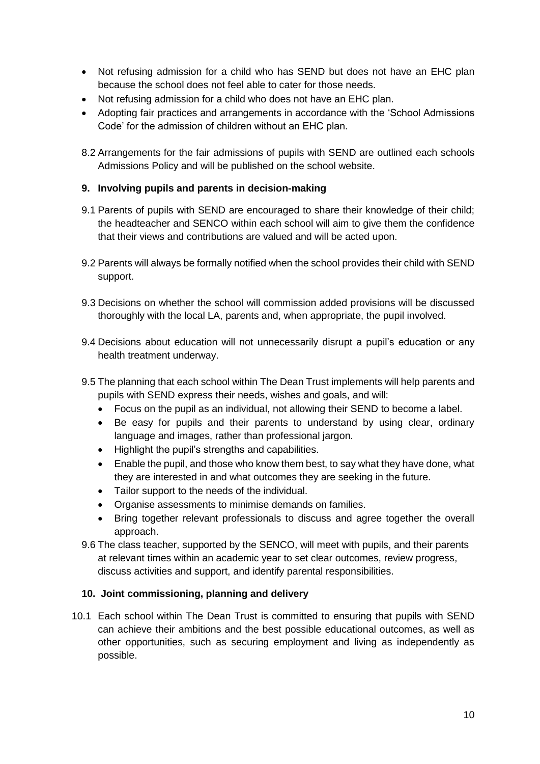- Not refusing admission for a child who has SEND but does not have an EHC plan because the school does not feel able to cater for those needs.
- Not refusing admission for a child who does not have an EHC plan.
- Adopting fair practices and arrangements in accordance with the 'School Admissions Code' for the admission of children without an EHC plan.
- 8.2 Arrangements for the fair admissions of pupils with SEND are outlined each schools Admissions Policy and will be published on the school website.

## <span id="page-10-0"></span>**9. Involving pupils and parents in decision-making**

- 9.1 Parents of pupils with SEND are encouraged to share their knowledge of their child; the headteacher and SENCO within each school will aim to give them the confidence that their views and contributions are valued and will be acted upon.
- 9.2 Parents will always be formally notified when the school provides their child with SEND support.
- 9.3 Decisions on whether the school will commission added provisions will be discussed thoroughly with the local LA, parents and, when appropriate, the pupil involved.
- 9.4 Decisions about education will not unnecessarily disrupt a pupil's education or any health treatment underway.
- 9.5 The planning that each school within The Dean Trust implements will help parents and pupils with SEND express their needs, wishes and goals, and will:
	- Focus on the pupil as an individual, not allowing their SEND to become a label.
	- Be easy for pupils and their parents to understand by using clear, ordinary language and images, rather than professional jargon.
	- Highlight the pupil's strengths and capabilities.
	- Enable the pupil, and those who know them best, to say what they have done, what they are interested in and what outcomes they are seeking in the future.
	- Tailor support to the needs of the individual.
	- Organise assessments to minimise demands on families.
	- Bring together relevant professionals to discuss and agree together the overall approach.
- 9.6 The class teacher, supported by the SENCO, will meet with pupils, and their parents at relevant times within an academic year to set clear outcomes, review progress, discuss activities and support, and identify parental responsibilities.

## <span id="page-10-1"></span>**10. Joint commissioning, planning and delivery**

10.1 Each school within The Dean Trust is committed to ensuring that pupils with SEND can achieve their ambitions and the best possible educational outcomes, as well as other opportunities, such as securing employment and living as independently as possible.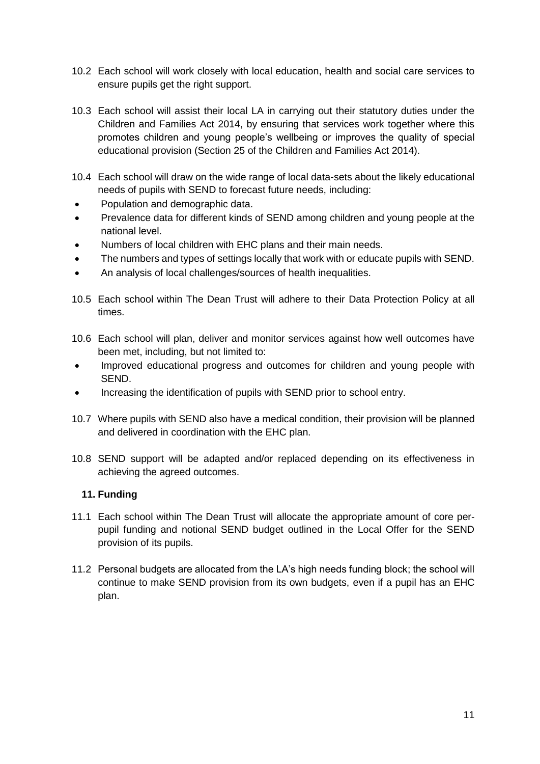- 10.2 Each school will work closely with local education, health and social care services to ensure pupils get the right support.
- 10.3 Each school will assist their local LA in carrying out their statutory duties under the Children and Families Act 2014, by ensuring that services work together where this promotes children and young people's wellbeing or improves the quality of special educational provision (Section 25 of the Children and Families Act 2014).
- 10.4 Each school will draw on the wide range of local data-sets about the likely educational needs of pupils with SEND to forecast future needs, including:
- Population and demographic data.
- Prevalence data for different kinds of SEND among children and young people at the national level.
- Numbers of local children with EHC plans and their main needs.
- The numbers and types of settings locally that work with or educate pupils with SEND.
- An analysis of local challenges/sources of health inequalities.
- 10.5 Each school within The Dean Trust will adhere to their Data Protection Policy at all times.
- 10.6 Each school will plan, deliver and monitor services against how well outcomes have been met, including, but not limited to:
- Improved educational progress and outcomes for children and young people with SEND.
- Increasing the identification of pupils with SEND prior to school entry.
- 10.7 Where pupils with SEND also have a medical condition, their provision will be planned and delivered in coordination with the EHC plan.
- 10.8 SEND support will be adapted and/or replaced depending on its effectiveness in achieving the agreed outcomes.

## <span id="page-11-0"></span>**11. Funding**

- 11.1 Each school within The Dean Trust will allocate the appropriate amount of core perpupil funding and notional SEND budget outlined in the Local Offer for the SEND provision of its pupils.
- 11.2 Personal budgets are allocated from the LA's high needs funding block; the school will continue to make SEND provision from its own budgets, even if a pupil has an EHC plan.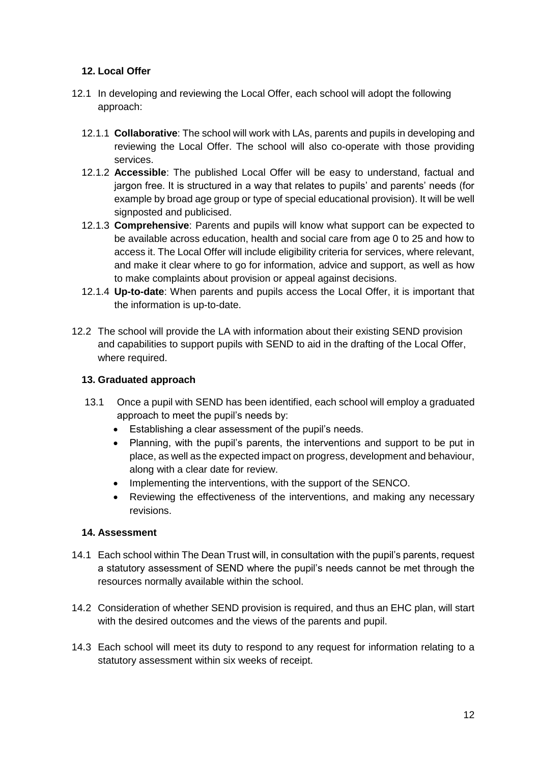## <span id="page-12-0"></span>**12. Local Offer**

- 12.1 In developing and reviewing the Local Offer, each school will adopt the following approach:
	- 12.1.1 **Collaborative**: The school will work with LAs, parents and pupils in developing and reviewing the Local Offer. The school will also co-operate with those providing services.
	- 12.1.2 **Accessible**: The published Local Offer will be easy to understand, factual and jargon free. It is structured in a way that relates to pupils' and parents' needs (for example by broad age group or type of special educational provision). It will be well signposted and publicised.
	- 12.1.3 **Comprehensive**: Parents and pupils will know what support can be expected to be available across education, health and social care from age 0 to 25 and how to access it. The Local Offer will include eligibility criteria for services, where relevant, and make it clear where to go for information, advice and support, as well as how to make complaints about provision or appeal against decisions.
	- 12.1.4 **Up-to-date**: When parents and pupils access the Local Offer, it is important that the information is up-to-date.
- <span id="page-12-1"></span>12.2 The school will provide the LA with information about their existing SEND provision and capabilities to support pupils with SEND to aid in the drafting of the Local Offer, where required.

#### **13. Graduated approach**

- 13.1 Once a pupil with SEND has been identified, each school will employ a graduated approach to meet the pupil's needs by:
	- Establishing a clear assessment of the pupil's needs.
	- Planning, with the pupil's parents, the interventions and support to be put in place, as well as the expected impact on progress, development and behaviour, along with a clear date for review.
	- Implementing the interventions, with the support of the SENCO.
	- Reviewing the effectiveness of the interventions, and making any necessary revisions.

#### <span id="page-12-2"></span>**14. Assessment**

- 14.1 Each school within The Dean Trust will, in consultation with the pupil's parents, request a statutory assessment of SEND where the pupil's needs cannot be met through the resources normally available within the school.
- 14.2 Consideration of whether SEND provision is required, and thus an EHC plan, will start with the desired outcomes and the views of the parents and pupil.
- 14.3 Each school will meet its duty to respond to any request for information relating to a statutory assessment within six weeks of receipt.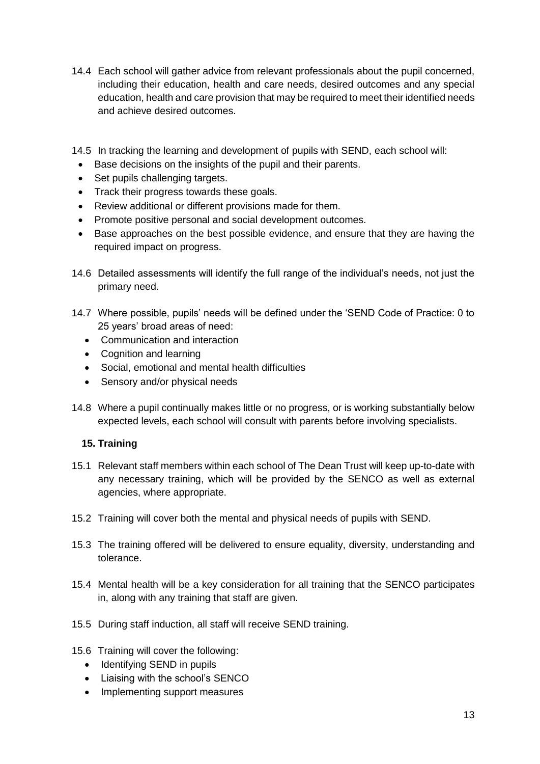- 14.4 Each school will gather advice from relevant professionals about the pupil concerned, including their education, health and care needs, desired outcomes and any special education, health and care provision that may be required to meet their identified needs and achieve desired outcomes.
- 14.5 In tracking the learning and development of pupils with SEND, each school will:
	- Base decisions on the insights of the pupil and their parents.
- Set pupils challenging targets.
- Track their progress towards these goals.
- Review additional or different provisions made for them.
- Promote positive personal and social development outcomes.
- Base approaches on the best possible evidence, and ensure that they are having the required impact on progress.
- 14.6 Detailed assessments will identify the full range of the individual's needs, not just the primary need.
- 14.7 Where possible, pupils' needs will be defined under the 'SEND Code of Practice: 0 to 25 years' broad areas of need:
	- Communication and interaction
	- Cognition and learning
	- Social, emotional and mental health difficulties
	- Sensory and/or physical needs
- 14.8 Where a pupil continually makes little or no progress, or is working substantially below expected levels, each school will consult with parents before involving specialists.

#### <span id="page-13-0"></span>**15. Training**

- 15.1 Relevant staff members within each school of The Dean Trust will keep up-to-date with any necessary training, which will be provided by the SENCO as well as external agencies, where appropriate.
- 15.2 Training will cover both the mental and physical needs of pupils with SEND.
- 15.3 The training offered will be delivered to ensure equality, diversity, understanding and tolerance.
- 15.4 Mental health will be a key consideration for all training that the SENCO participates in, along with any training that staff are given.
- 15.5 During staff induction, all staff will receive SEND training.
- 15.6 Training will cover the following:
	- Identifying SEND in pupils
	- Liaising with the school's SENCO
	- Implementing support measures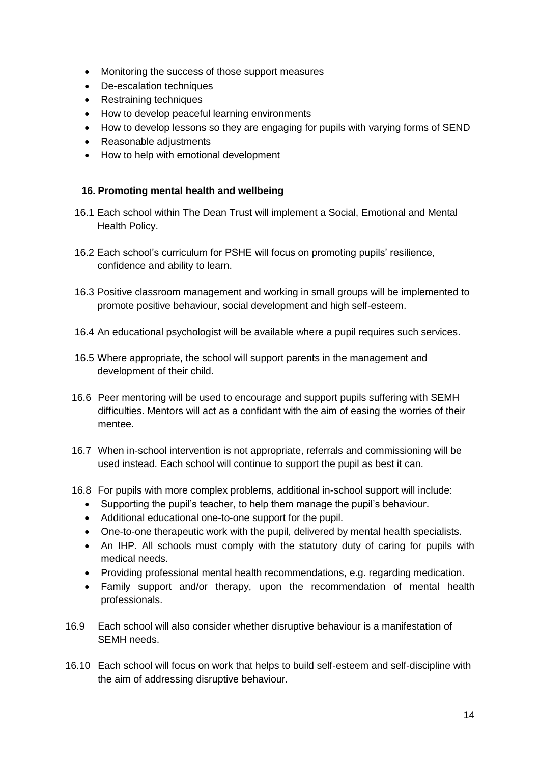- Monitoring the success of those support measures
- De-escalation techniques
- Restraining techniques
- How to develop peaceful learning environments
- How to develop lessons so they are engaging for pupils with varying forms of SEND
- Reasonable adjustments
- How to help with emotional development

#### <span id="page-14-0"></span>**16. Promoting mental health and wellbeing**

- 16.1 Each school within The Dean Trust will implement a Social, Emotional and Mental Health Policy.
- 16.2 Each school's curriculum for PSHE will focus on promoting pupils' resilience, confidence and ability to learn.
- 16.3 Positive classroom management and working in small groups will be implemented to promote positive behaviour, social development and high self-esteem.
- 16.4 An educational psychologist will be available where a pupil requires such services.
- 16.5 Where appropriate, the school will support parents in the management and development of their child.
- 16.6 Peer mentoring will be used to encourage and support pupils suffering with SEMH difficulties. Mentors will act as a confidant with the aim of easing the worries of their mentee.
- 16.7 When in-school intervention is not appropriate, referrals and commissioning will be used instead. Each school will continue to support the pupil as best it can.
- 16.8 For pupils with more complex problems, additional in-school support will include:
	- Supporting the pupil's teacher, to help them manage the pupil's behaviour.
	- Additional educational one-to-one support for the pupil.
	- One-to-one therapeutic work with the pupil, delivered by mental health specialists.
	- An IHP. All schools must comply with the statutory duty of caring for pupils with medical needs.
	- Providing professional mental health recommendations, e.g. regarding medication.
	- Family support and/or therapy, upon the recommendation of mental health professionals.
- 16.9 Each school will also consider whether disruptive behaviour is a manifestation of SEMH needs.
- 16.10 Each school will focus on work that helps to build self-esteem and self-discipline with the aim of addressing disruptive behaviour.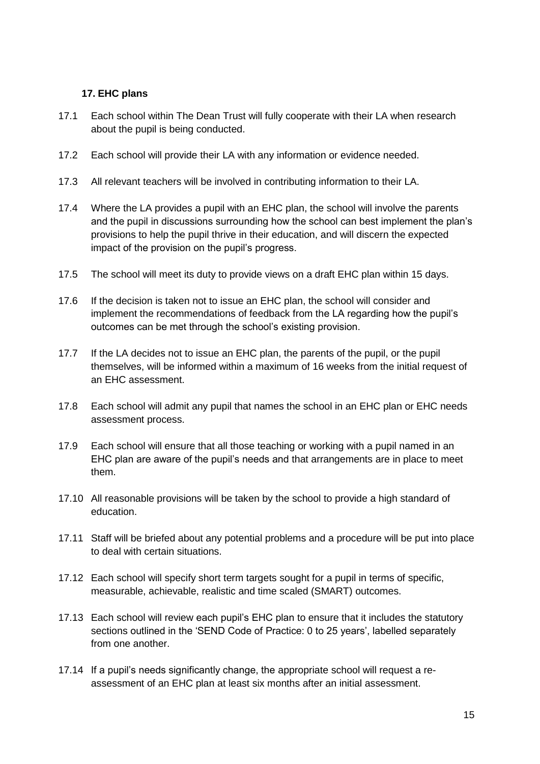## <span id="page-15-0"></span>**17. EHC plans**

- 17.1 Each school within The Dean Trust will fully cooperate with their LA when research about the pupil is being conducted.
- 17.2 Each school will provide their LA with any information or evidence needed.
- 17.3 All relevant teachers will be involved in contributing information to their LA.
- 17.4 Where the LA provides a pupil with an EHC plan, the school will involve the parents and the pupil in discussions surrounding how the school can best implement the plan's provisions to help the pupil thrive in their education, and will discern the expected impact of the provision on the pupil's progress.
- 17.5 The school will meet its duty to provide views on a draft EHC plan within 15 days.
- 17.6 If the decision is taken not to issue an EHC plan, the school will consider and implement the recommendations of feedback from the LA regarding how the pupil's outcomes can be met through the school's existing provision.
- 17.7 If the LA decides not to issue an EHC plan, the parents of the pupil, or the pupil themselves, will be informed within a maximum of 16 weeks from the initial request of an EHC assessment.
- 17.8 Each school will admit any pupil that names the school in an EHC plan or EHC needs assessment process.
- 17.9 Each school will ensure that all those teaching or working with a pupil named in an EHC plan are aware of the pupil's needs and that arrangements are in place to meet them.
- 17.10 All reasonable provisions will be taken by the school to provide a high standard of education.
- 17.11 Staff will be briefed about any potential problems and a procedure will be put into place to deal with certain situations.
- 17.12 Each school will specify short term targets sought for a pupil in terms of specific, measurable, achievable, realistic and time scaled (SMART) outcomes.
- 17.13 Each school will review each pupil's EHC plan to ensure that it includes the statutory sections outlined in the 'SEND Code of Practice: 0 to 25 years', labelled separately from one another.
- 17.14 If a pupil's needs significantly change, the appropriate school will request a reassessment of an EHC plan at least six months after an initial assessment.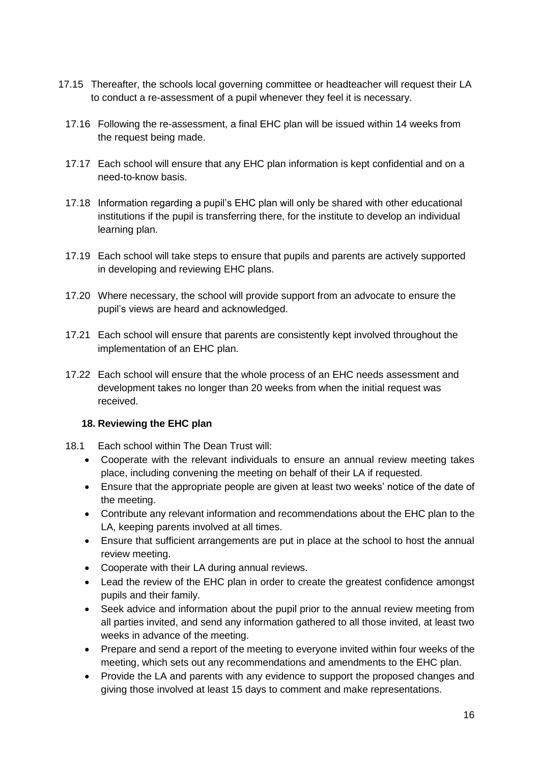- 17.15 Thereafter, the schools local governing committee or headteacher will request their LA to conduct a re-assessment of a pupil whenever they feel it is necessary.
	- 17.16 Following the re-assessment, a final EHC plan will be issued within 14 weeks from the request being made.
	- 17.17 Each school will ensure that any EHC plan information is kept confidential and on a need-to-know basis.
	- 17.18 Information regarding a pupil's EHC plan will only be shared with other educational institutions if the pupil is transferring there, for the institute to develop an individual learning plan.
	- 17.19 Each school will take steps to ensure that pupils and parents are actively supported in developing and reviewing EHC plans.
	- 17.20 Where necessary, the school will provide support from an advocate to ensure the pupil's views are heard and acknowledged.
	- 17.21 Each school will ensure that parents are consistently kept involved throughout the implementation of an EHC plan.
	- 17.22 Each school will ensure that the whole process of an EHC needs assessment and development takes no longer than 20 weeks from when the initial request was received.

## <span id="page-16-0"></span>**18. Reviewing the EHC plan**

- 18.1 Each school within The Dean Trust will:
	- Cooperate with the relevant individuals to ensure an annual review meeting takes place, including convening the meeting on behalf of their LA if requested.
	- Ensure that the appropriate people are given at least two weeks' notice of the date of the meeting.
	- Contribute any relevant information and recommendations about the EHC plan to the LA, keeping parents involved at all times.
	- Ensure that sufficient arrangements are put in place at the school to host the annual review meeting.
	- Cooperate with their LA during annual reviews.
	- Lead the review of the EHC plan in order to create the greatest confidence amongst pupils and their family.
	- Seek advice and information about the pupil prior to the annual review meeting from all parties invited, and send any information gathered to all those invited, at least two weeks in advance of the meeting.
	- Prepare and send a report of the meeting to everyone invited within four weeks of the meeting, which sets out any recommendations and amendments to the EHC plan.
	- Provide the LA and parents with any evidence to support the proposed changes and giving those involved at least 15 days to comment and make representations.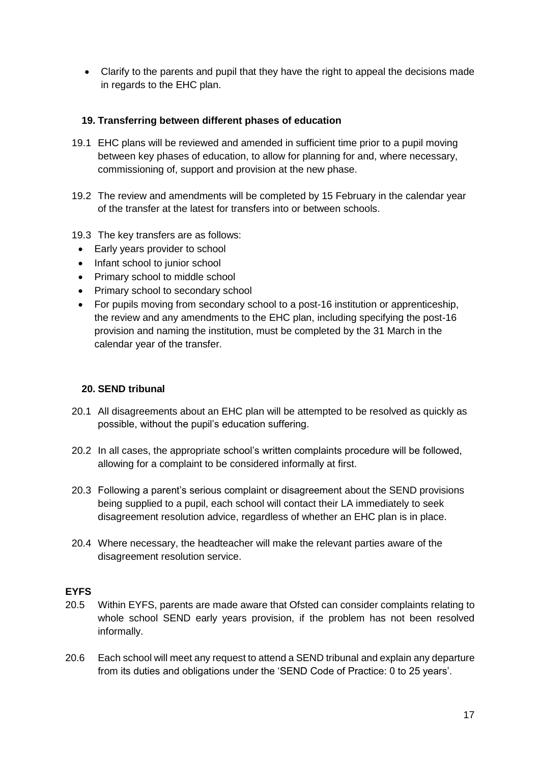• Clarify to the parents and pupil that they have the right to appeal the decisions made in regards to the EHC plan.

#### <span id="page-17-0"></span>**19. Transferring between different phases of education**

- 19.1 EHC plans will be reviewed and amended in sufficient time prior to a pupil moving between key phases of education, to allow for planning for and, where necessary, commissioning of, support and provision at the new phase.
- 19.2 The review and amendments will be completed by 15 February in the calendar year of the transfer at the latest for transfers into or between schools.
- 19.3 The key transfers are as follows:
- Early years provider to school
- Infant school to junior school
- Primary school to middle school
- Primary school to secondary school
- For pupils moving from secondary school to a post-16 institution or apprenticeship, the review and any amendments to the EHC plan, including specifying the post-16 provision and naming the institution, must be completed by the 31 March in the calendar year of the transfer.

#### <span id="page-17-1"></span>**20. SEND tribunal**

- 20.1 All disagreements about an EHC plan will be attempted to be resolved as quickly as possible, without the pupil's education suffering.
- 20.2 In all cases, the appropriate school's written complaints procedure will be followed, allowing for a complaint to be considered informally at first.
- 20.3 Following a parent's serious complaint or disagreement about the SEND provisions being supplied to a pupil, each school will contact their LA immediately to seek disagreement resolution advice, regardless of whether an EHC plan is in place.
- 20.4 Where necessary, the headteacher will make the relevant parties aware of the disagreement resolution service.

#### **EYFS**

- 20.5 Within EYFS, parents are made aware that Ofsted can consider complaints relating to whole school SEND early years provision, if the problem has not been resolved informally.
- 20.6 Each school will meet any request to attend a SEND tribunal and explain any departure from its duties and obligations under the 'SEND Code of Practice: 0 to 25 years'.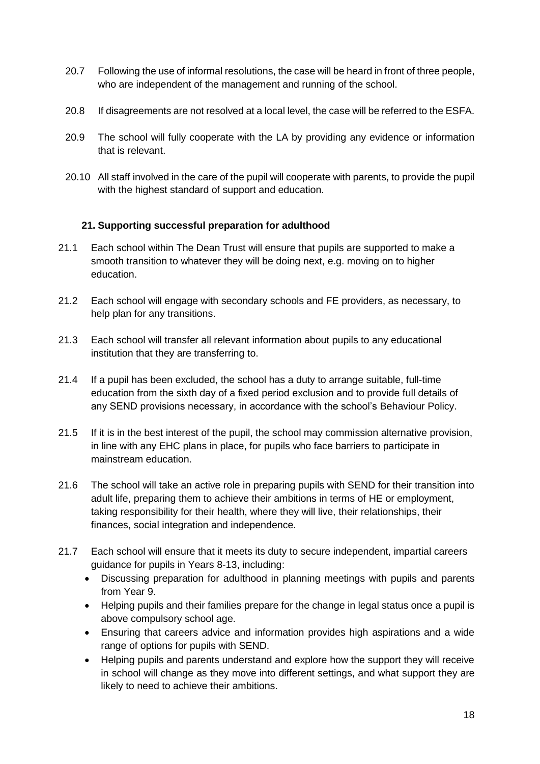- 20.7 Following the use of informal resolutions, the case will be heard in front of three people, who are independent of the management and running of the school.
- 20.8 If disagreements are not resolved at a local level, the case will be referred to the ESFA.
- 20.9 The school will fully cooperate with the LA by providing any evidence or information that is relevant.
- <span id="page-18-0"></span>20.10 All staff involved in the care of the pupil will cooperate with parents, to provide the pupil with the highest standard of support and education.

## **21. Supporting successful preparation for adulthood**

- 21.1 Each school within The Dean Trust will ensure that pupils are supported to make a smooth transition to whatever they will be doing next, e.g. moving on to higher education.
- 21.2 Each school will engage with secondary schools and FE providers, as necessary, to help plan for any transitions.
- 21.3 Each school will transfer all relevant information about pupils to any educational institution that they are transferring to.
- 21.4 If a pupil has been excluded, the school has a duty to arrange suitable, full-time education from the sixth day of a fixed period exclusion and to provide full details of any SEND provisions necessary, in accordance with the school's Behaviour Policy.
- 21.5 If it is in the best interest of the pupil, the school may commission alternative provision, in line with any EHC plans in place, for pupils who face barriers to participate in mainstream education.
- 21.6 The school will take an active role in preparing pupils with SEND for their transition into adult life, preparing them to achieve their ambitions in terms of HE or employment, taking responsibility for their health, where they will live, their relationships, their finances, social integration and independence.
- 21.7 Each school will ensure that it meets its duty to secure independent, impartial careers guidance for pupils in Years 8-13, including:
	- Discussing preparation for adulthood in planning meetings with pupils and parents from Year 9.
	- Helping pupils and their families prepare for the change in legal status once a pupil is above compulsory school age.
	- Ensuring that careers advice and information provides high aspirations and a wide range of options for pupils with SEND.
	- Helping pupils and parents understand and explore how the support they will receive in school will change as they move into different settings, and what support they are likely to need to achieve their ambitions.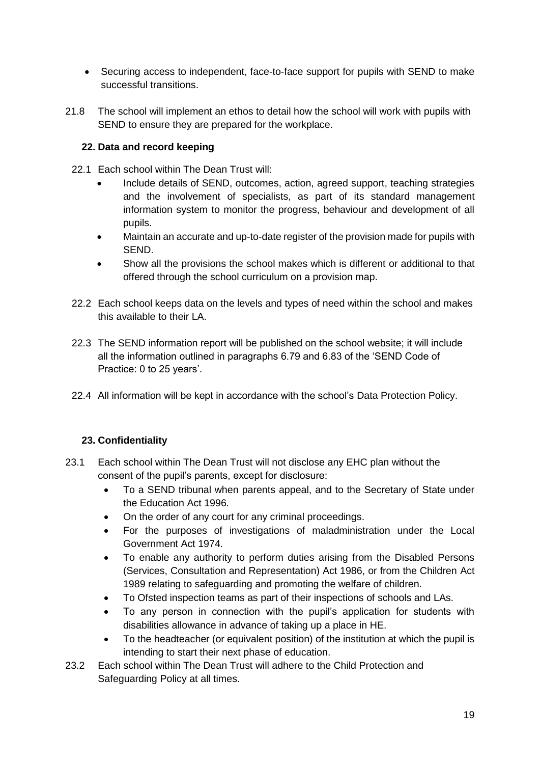- Securing access to independent, face-to-face support for pupils with SEND to make successful transitions.
- 21.8 The school will implement an ethos to detail how the school will work with pupils with SEND to ensure they are prepared for the workplace.

## <span id="page-19-0"></span>**22. Data and record keeping**

- 22.1 Each school within The Dean Trust will:
	- Include details of SEND, outcomes, action, agreed support, teaching strategies and the involvement of specialists, as part of its standard management information system to monitor the progress, behaviour and development of all pupils.
	- Maintain an accurate and up-to-date register of the provision made for pupils with SEND.
	- Show all the provisions the school makes which is different or additional to that offered through the school curriculum on a provision map.
- 22.2 Each school keeps data on the levels and types of need within the school and makes this available to their LA.
- 22.3 The SEND information report will be published on the school website; it will include all the information outlined in paragraphs 6.79 and 6.83 of the 'SEND Code of Practice: 0 to 25 years'.
- <span id="page-19-1"></span>22.4 All information will be kept in accordance with the school's Data Protection Policy.

## **23. Confidentiality**

- 23.1 Each school within The Dean Trust will not disclose any EHC plan without the consent of the pupil's parents, except for disclosure:
	- To a SEND tribunal when parents appeal, and to the Secretary of State under the Education Act 1996.
	- On the order of any court for any criminal proceedings.
	- For the purposes of investigations of maladministration under the Local Government Act 1974.
	- To enable any authority to perform duties arising from the Disabled Persons (Services, Consultation and Representation) Act 1986, or from the Children Act 1989 relating to safeguarding and promoting the welfare of children.
	- To Ofsted inspection teams as part of their inspections of schools and LAs.
	- To any person in connection with the pupil's application for students with disabilities allowance in advance of taking up a place in HE.
	- To the headteacher (or equivalent position) of the institution at which the pupil is intending to start their next phase of education.
- 23.2 Each school within The Dean Trust will adhere to the Child Protection and Safeguarding Policy at all times.